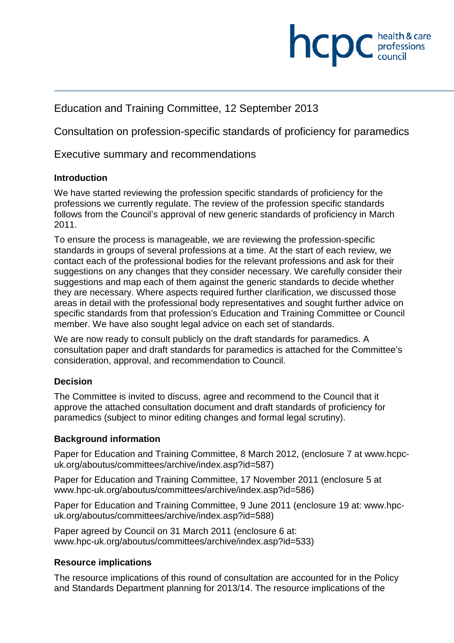# health & care **INCDC** *c health & care*

# Education and Training Committee, 12 September 2013

Consultation on profession-specific standards of proficiency for paramedics

Executive summary and recommendations

### **Introduction**

We have started reviewing the profession specific standards of proficiency for the professions we currently regulate. The review of the profession specific standards follows from the Council's approval of new generic standards of proficiency in March 2011.

To ensure the process is manageable, we are reviewing the profession-specific standards in groups of several professions at a time. At the start of each review, we contact each of the professional bodies for the relevant professions and ask for their suggestions on any changes that they consider necessary. We carefully consider their suggestions and map each of them against the generic standards to decide whether they are necessary. Where aspects required further clarification, we discussed those areas in detail with the professional body representatives and sought further advice on specific standards from that profession's Education and Training Committee or Council member. We have also sought legal advice on each set of standards.

We are now ready to consult publicly on the draft standards for paramedics. A consultation paper and draft standards for paramedics is attached for the Committee's consideration, approval, and recommendation to Council.

### **Decision**

The Committee is invited to discuss, agree and recommend to the Council that it approve the attached consultation document and draft standards of proficiency for paramedics (subject to minor editing changes and formal legal scrutiny).

### **Background information**

Paper for Education and Training Committee, 8 March 2012, (enclosure 7 at www.hcpcuk.org/aboutus/committees/archive/index.asp?id=587)

Paper for Education and Training Committee, 17 November 2011 (enclosure 5 at www.hpc-uk.org/aboutus/committees/archive/index.asp?id=586)

Paper for Education and Training Committee, 9 June 2011 (enclosure 19 at: www.hpcuk.org/aboutus/committees/archive/index.asp?id=588)

Paper agreed by Council on 31 March 2011 (enclosure 6 at: www.hpc-uk.org/aboutus/committees/archive/index.asp?id=533)

### **Resource implications**

The resource implications of this round of consultation are accounted for in the Policy and Standards Department planning for 2013/14. The resource implications of the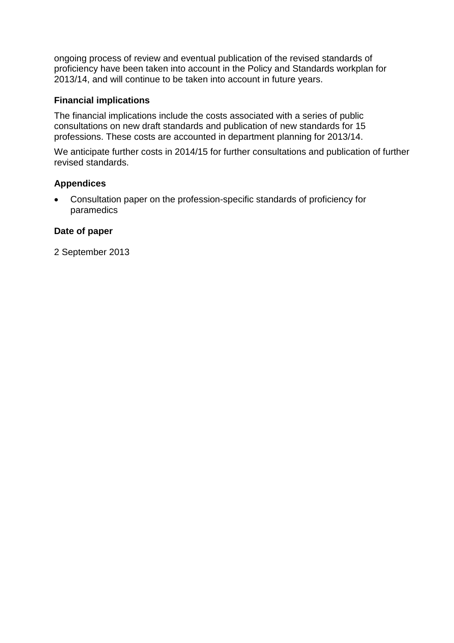ongoing process of review and eventual publication of the revised standards of proficiency have been taken into account in the Policy and Standards workplan for 2013/14, and will continue to be taken into account in future years.

### **Financial implications**

The financial implications include the costs associated with a series of public consultations on new draft standards and publication of new standards for 15 professions. These costs are accounted in department planning for 2013/14.

We anticipate further costs in 2014/15 for further consultations and publication of further revised standards.

### **Appendices**

• Consultation paper on the profession-specific standards of proficiency for paramedics

### **Date of paper**

2 September 2013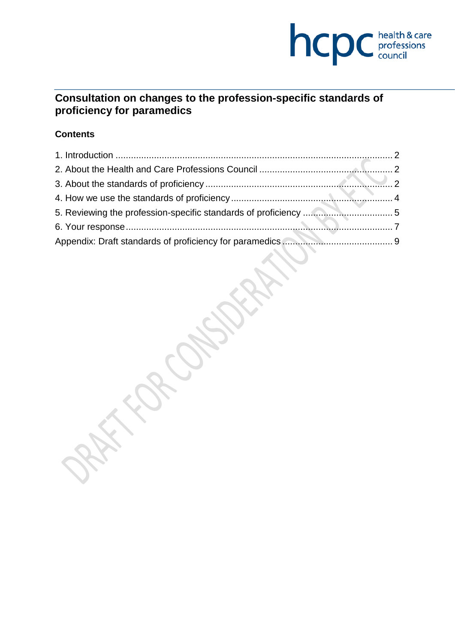

### **Consultation on changes to the profession-specific standards of proficiency for paramedics**

### **Contents**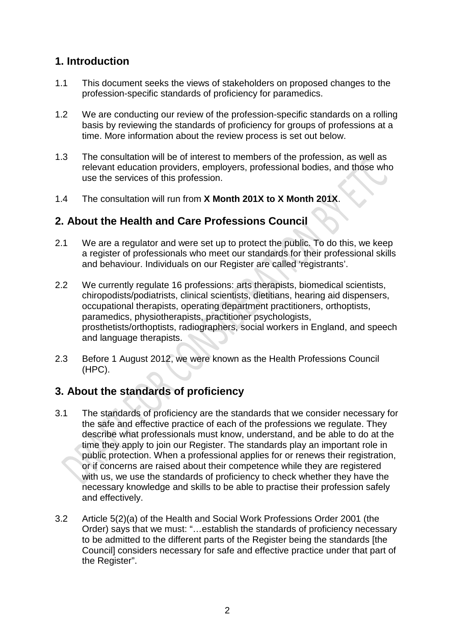# **1. Introduction**

- 1.1 This document seeks the views of stakeholders on proposed changes to the profession-specific standards of proficiency for paramedics.
- 1.2 We are conducting our review of the profession-specific standards on a rolling basis by reviewing the standards of proficiency for groups of professions at a time. More information about the review process is set out below.
- 1.3 The consultation will be of interest to members of the profession, as well as relevant education providers, employers, professional bodies, and those who use the services of this profession.
- 1.4 The consultation will run from **X Month 201X to X Month 201X**.

# **2. About the Health and Care Professions Council**

- 2.1 We are a regulator and were set up to protect the public. To do this, we keep a register of professionals who meet our standards for their professional skills and behaviour. Individuals on our Register are called 'registrants'.
- 2.2 We currently regulate 16 professions: arts therapists, biomedical scientists, chiropodists/podiatrists, clinical scientists, dietitians, hearing aid dispensers, occupational therapists, operating department practitioners, orthoptists, paramedics, physiotherapists, practitioner psychologists, prosthetists/orthoptists, radiographers, social workers in England, and speech and language therapists.
- 2.3 Before 1 August 2012, we were known as the Health Professions Council (HPC).

### **3. About the standards of proficiency**

- 3.1 The standards of proficiency are the standards that we consider necessary for the safe and effective practice of each of the professions we regulate. They describe what professionals must know, understand, and be able to do at the time they apply to join our Register. The standards play an important role in public protection. When a professional applies for or renews their registration, or if concerns are raised about their competence while they are registered with us, we use the standards of proficiency to check whether they have the necessary knowledge and skills to be able to practise their profession safely and effectively.
- 3.2 Article 5(2)(a) of the Health and Social Work Professions Order 2001 (the Order) says that we must: "…establish the standards of proficiency necessary to be admitted to the different parts of the Register being the standards [the Council] considers necessary for safe and effective practice under that part of the Register".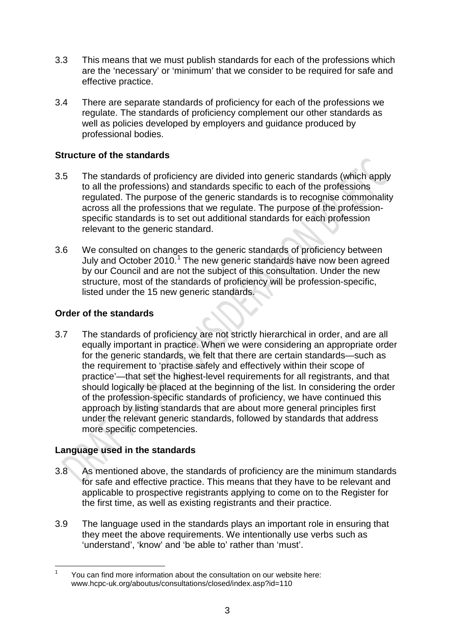- 3.3 This means that we must publish standards for each of the professions which are the 'necessary' or 'minimum' that we consider to be required for safe and effective practice.
- 3.4 There are separate standards of proficiency for each of the professions we regulate. The standards of proficiency complement our other standards as well as policies developed by employers and guidance produced by professional bodies.

### **Structure of the standards**

- 3.5 The standards of proficiency are divided into generic standards (which apply to all the professions) and standards specific to each of the professions regulated. The purpose of the generic standards is to recognise commonality across all the professions that we regulate. The purpose of the professionspecific standards is to set out additional standards for each profession relevant to the generic standard.
- 3.6 We consulted on changes to the generic standards of proficiency between July and October 2010.<sup>1</sup> The new generic standards have now been agreed by our Council and are not the subject of this consultation. Under the new structure, most of the standards of proficiency will be profession-specific, listed under the 15 new generic standards.

### **Order of the standards**

3.7 The standards of proficiency are not strictly hierarchical in order, and are all equally important in practice. When we were considering an appropriate order for the generic standards, we felt that there are certain standards—such as the requirement to 'practise safely and effectively within their scope of practice'—that set the highest-level requirements for all registrants, and that should logically be placed at the beginning of the list. In considering the order of the profession-specific standards of proficiency, we have continued this approach by listing standards that are about more general principles first under the relevant generic standards, followed by standards that address more specific competencies.

### **Language used in the standards**

- 3.8 As mentioned above, the standards of proficiency are the minimum standards for safe and effective practice. This means that they have to be relevant and applicable to prospective registrants applying to come on to the Register for the first time, as well as existing registrants and their practice.
- 3.9 The language used in the standards plays an important role in ensuring that they meet the above requirements. We intentionally use verbs such as 'understand', 'know' and 'be able to' rather than 'must'.

<sup>&</sup>lt;sup>1</sup> You can find more information about the consultation on our website here: www.hcpc-uk.org/aboutus/consultations/closed/index.asp?id=110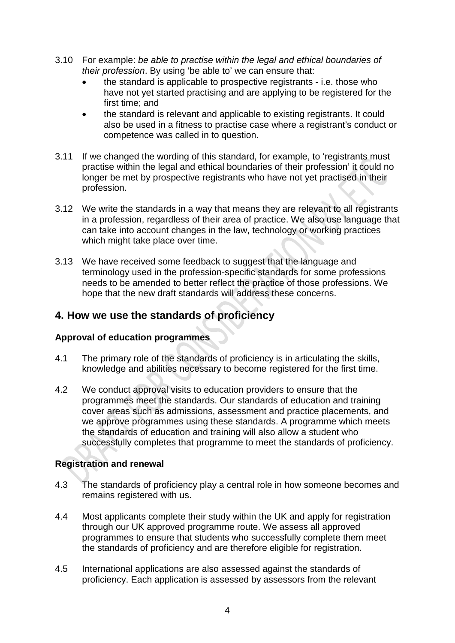- 3.10 For example: *be able to practise within the legal and ethical boundaries of their profession*. By using 'be able to' we can ensure that:
	- the standard is applicable to prospective registrants i.e. those who have not yet started practising and are applying to be registered for the first time; and
	- the standard is relevant and applicable to existing registrants. It could also be used in a fitness to practise case where a registrant's conduct or competence was called in to question.
- 3.11 If we changed the wording of this standard, for example, to 'registrants must practise within the legal and ethical boundaries of their profession' it could no longer be met by prospective registrants who have not yet practised in their profession.
- 3.12 We write the standards in a way that means they are relevant to all registrants in a profession, regardless of their area of practice. We also use language that can take into account changes in the law, technology or working practices which might take place over time.
- 3.13 We have received some feedback to suggest that the language and terminology used in the profession-specific standards for some professions needs to be amended to better reflect the practice of those professions. We hope that the new draft standards will address these concerns.

### **4. How we use the standards of proficiency**

### **Approval of education programmes**

- 4.1 The primary role of the standards of proficiency is in articulating the skills, knowledge and abilities necessary to become registered for the first time.
- 4.2 We conduct approval visits to education providers to ensure that the programmes meet the standards. Our standards of education and training cover areas such as admissions, assessment and practice placements, and we approve programmes using these standards. A programme which meets the standards of education and training will also allow a student who successfully completes that programme to meet the standards of proficiency.

### **Registration and renewal**

- 4.3 The standards of proficiency play a central role in how someone becomes and remains registered with us.
- 4.4 Most applicants complete their study within the UK and apply for registration through our UK approved programme route. We assess all approved programmes to ensure that students who successfully complete them meet the standards of proficiency and are therefore eligible for registration.
- 4.5 International applications are also assessed against the standards of proficiency. Each application is assessed by assessors from the relevant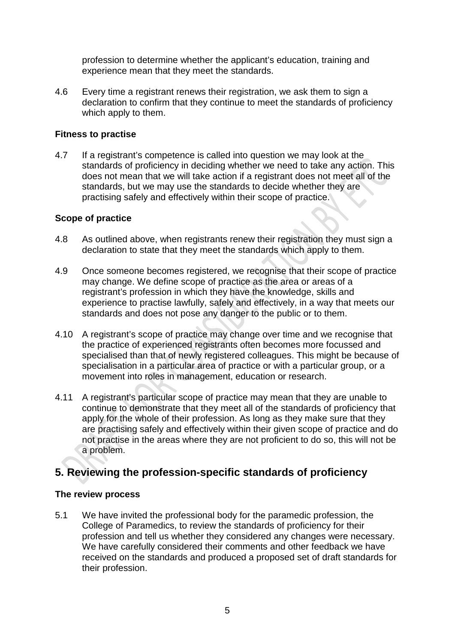profession to determine whether the applicant's education, training and experience mean that they meet the standards.

4.6 Every time a registrant renews their registration, we ask them to sign a declaration to confirm that they continue to meet the standards of proficiency which apply to them.

#### **Fitness to practise**

4.7 If a registrant's competence is called into question we may look at the standards of proficiency in deciding whether we need to take any action. This does not mean that we will take action if a registrant does not meet all of the standards, but we may use the standards to decide whether they are practising safely and effectively within their scope of practice.

### **Scope of practice**

- 4.8 As outlined above, when registrants renew their registration they must sign a declaration to state that they meet the standards which apply to them.
- 4.9 Once someone becomes registered, we recognise that their scope of practice may change. We define scope of practice as the area or areas of a registrant's profession in which they have the knowledge, skills and experience to practise lawfully, safely and effectively, in a way that meets our standards and does not pose any danger to the public or to them.
- 4.10 A registrant's scope of practice may change over time and we recognise that the practice of experienced registrants often becomes more focussed and specialised than that of newly registered colleagues. This might be because of specialisation in a particular area of practice or with a particular group, or a movement into roles in management, education or research.
- 4.11 A registrant's particular scope of practice may mean that they are unable to continue to demonstrate that they meet all of the standards of proficiency that apply for the whole of their profession. As long as they make sure that they are practising safely and effectively within their given scope of practice and do not practise in the areas where they are not proficient to do so, this will not be a problem.

# **5. Reviewing the profession-specific standards of proficiency**

#### **The review process**

5.1 We have invited the professional body for the paramedic profession, the College of Paramedics, to review the standards of proficiency for their profession and tell us whether they considered any changes were necessary. We have carefully considered their comments and other feedback we have received on the standards and produced a proposed set of draft standards for their profession.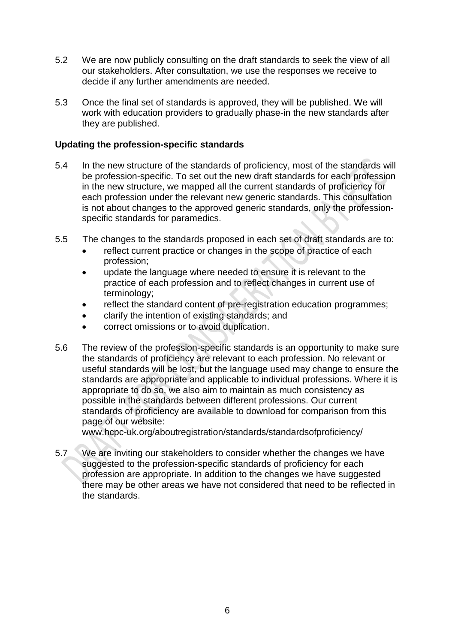- 5.2 We are now publicly consulting on the draft standards to seek the view of all our stakeholders. After consultation, we use the responses we receive to decide if any further amendments are needed.
- 5.3 Once the final set of standards is approved, they will be published. We will work with education providers to gradually phase-in the new standards after they are published.

#### **Updating the profession-specific standards**

- 5.4 In the new structure of the standards of proficiency, most of the standards will be profession-specific. To set out the new draft standards for each profession in the new structure, we mapped all the current standards of proficiency for each profession under the relevant new generic standards. This consultation is not about changes to the approved generic standards, only the professionspecific standards for paramedics.
- 5.5 The changes to the standards proposed in each set of draft standards are to:
	- reflect current practice or changes in the scope of practice of each profession;
	- update the language where needed to ensure it is relevant to the practice of each profession and to reflect changes in current use of terminology;
	- reflect the standard content of pre-registration education programmes;
	- clarify the intention of existing standards; and
	- correct omissions or to avoid duplication.
- 5.6 The review of the profession-specific standards is an opportunity to make sure the standards of proficiency are relevant to each profession. No relevant or useful standards will be lost, but the language used may change to ensure the standards are appropriate and applicable to individual professions. Where it is appropriate to do so, we also aim to maintain as much consistency as possible in the standards between different professions. Our current standards of proficiency are available to download for comparison from this page of our website:

www.hcpc-uk.org/aboutregistration/standards/standardsofproficiency/

5.7 We are inviting our stakeholders to consider whether the changes we have suggested to the profession-specific standards of proficiency for each profession are appropriate. In addition to the changes we have suggested there may be other areas we have not considered that need to be reflected in the standards.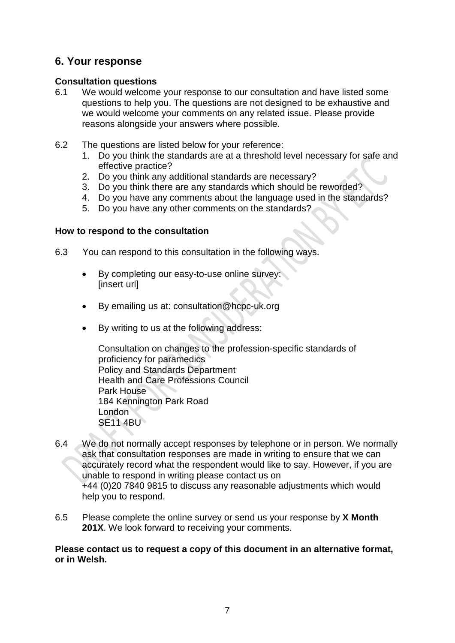### **6. Your response**

#### **Consultation questions**

- 6.1 We would welcome your response to our consultation and have listed some questions to help you. The questions are not designed to be exhaustive and we would welcome your comments on any related issue. Please provide reasons alongside your answers where possible.
- 6.2 The questions are listed below for your reference:
	- 1. Do you think the standards are at a threshold level necessary for safe and effective practice?
	- 2. Do you think any additional standards are necessary?
	- 3. Do you think there are any standards which should be reworded?
	- 4. Do you have any comments about the language used in the standards?
	- 5. Do you have any other comments on the standards?

#### **How to respond to the consultation**

- 6.3 You can respond to this consultation in the following ways.
	- By completing our easy-to-use online survey: [insert url]
	- By emailing us at: consultation@hcpc-uk.org
	- By writing to us at the following address:

Consultation on changes to the profession-specific standards of proficiency for paramedics Policy and Standards Department Health and Care Professions Council Park House 184 Kennington Park Road London **SE11 4BU** 

- 6.4 We do not normally accept responses by telephone or in person. We normally ask that consultation responses are made in writing to ensure that we can accurately record what the respondent would like to say. However, if you are unable to respond in writing please contact us on +44 (0)20 7840 9815 to discuss any reasonable adjustments which would help you to respond.
- 6.5 Please complete the online survey or send us your response by **X Month 201X**. We look forward to receiving your comments.

#### **Please contact us to request a copy of this document in an alternative format, or in Welsh.**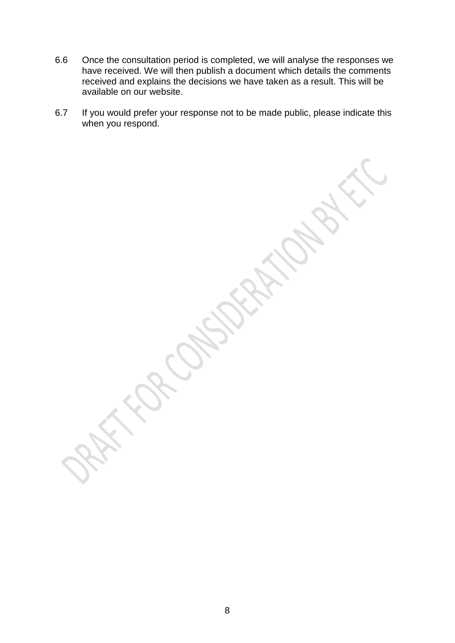- 6.6 Once the consultation period is completed, we will analyse the responses we have received. We will then publish a document which details the comments received and explains the decisions we have taken as a result. This will be available on our website.
- 6.7 If you would prefer your response not to be made public, please indicate this when you respond.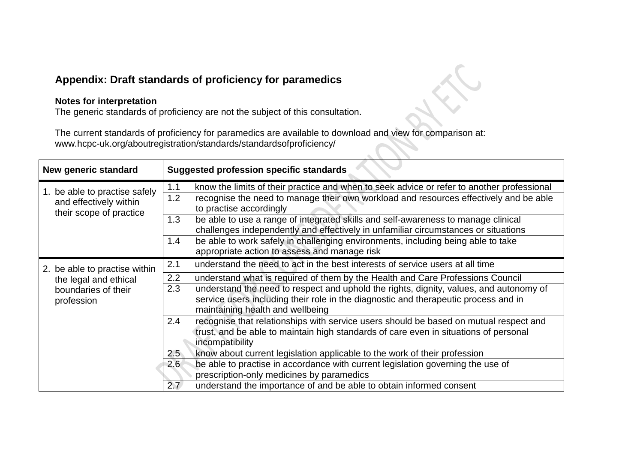### **Appendix: Draft standards of proficiency for paramedics**

#### **Notes for interpretation**

The generic standards of proficiency are not the subject of this consultation.

The current standards of proficiency for paramedics are available to download and view for comparison at: www.hcpc-uk.org/aboutregistration/standards/standardsofproficiency/

| New generic standard                                                               | <b>Suggested profession specific standards</b>                                                                                                                                                                               |
|------------------------------------------------------------------------------------|------------------------------------------------------------------------------------------------------------------------------------------------------------------------------------------------------------------------------|
| 1. be able to practise safely<br>and effectively within<br>their scope of practice | know the limits of their practice and when to seek advice or refer to another professional<br>1.1<br>recognise the need to manage their own workload and resources effectively and be able<br>1.2<br>to practise accordingly |
|                                                                                    | be able to use a range of integrated skills and self-awareness to manage clinical<br>1.3<br>challenges independently and effectively in unfamiliar circumstances or situations                                               |
|                                                                                    | be able to work safely in challenging environments, including being able to take<br>1.4<br>appropriate action to assess and manage risk                                                                                      |
| 2. be able to practise within                                                      | 2.1<br>understand the need to act in the best interests of service users at all time                                                                                                                                         |
| the legal and ethical                                                              | 2.2<br>understand what is required of them by the Health and Care Professions Council                                                                                                                                        |
| boundaries of their<br>profession                                                  | 2.3<br>understand the need to respect and uphold the rights, dignity, values, and autonomy of<br>service users including their role in the diagnostic and therapeutic process and in<br>maintaining health and wellbeing     |
|                                                                                    | 2.4<br>recognise that relationships with service users should be based on mutual respect and<br>trust, and be able to maintain high standards of care even in situations of personal<br>incompatibility                      |
|                                                                                    | know about current legislation applicable to the work of their profession<br>$2.5^{\circ}$                                                                                                                                   |
|                                                                                    | be able to practise in accordance with current legislation governing the use of<br>2.6 <sub>2</sub><br>prescription-only medicines by paramedics                                                                             |
|                                                                                    | 2.7<br>understand the importance of and be able to obtain informed consent                                                                                                                                                   |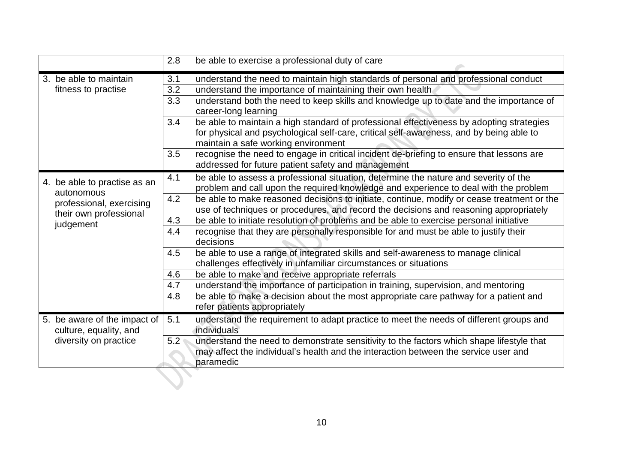|                                                                                 | 2.8 | be able to exercise a professional duty of care                                                                                                                                                                            |
|---------------------------------------------------------------------------------|-----|----------------------------------------------------------------------------------------------------------------------------------------------------------------------------------------------------------------------------|
| 3. be able to maintain                                                          | 3.1 | understand the need to maintain high standards of personal and professional conduct                                                                                                                                        |
| fitness to practise                                                             | 3.2 | understand the importance of maintaining their own health                                                                                                                                                                  |
|                                                                                 | 3.3 | understand both the need to keep skills and knowledge up to date and the importance of<br>career-long learning                                                                                                             |
|                                                                                 | 3.4 | be able to maintain a high standard of professional effectiveness by adopting strategies<br>for physical and psychological self-care, critical self-awareness, and by being able to<br>maintain a safe working environment |
|                                                                                 | 3.5 | recognise the need to engage in critical incident de-briefing to ensure that lessons are<br>addressed for future patient safety and management                                                                             |
| 4. be able to practise as an<br>autonomous                                      | 4.1 | be able to assess a professional situation, determine the nature and severity of the<br>problem and call upon the required knowledge and experience to deal with the problem                                               |
| professional, exercising<br>their own professional                              | 4.2 | be able to make reasoned decisions to initiate, continue, modify or cease treatment or the<br>use of techniques or procedures, and record the decisions and reasoning appropriately                                        |
| judgement                                                                       | 4.3 | be able to initiate resolution of problems and be able to exercise personal initiative                                                                                                                                     |
|                                                                                 | 4.4 | recognise that they are personally responsible for and must be able to justify their<br>decisions                                                                                                                          |
|                                                                                 | 4.5 | be able to use a range of integrated skills and self-awareness to manage clinical<br>challenges effectively in unfamiliar circumstances or situations                                                                      |
|                                                                                 | 4.6 | be able to make and receive appropriate referrals                                                                                                                                                                          |
|                                                                                 | 4.7 | understand the importance of participation in training, supervision, and mentoring                                                                                                                                         |
|                                                                                 | 4.8 | be able to make a decision about the most appropriate care pathway for a patient and<br>refer patients appropriately                                                                                                       |
| 5. be aware of the impact of<br>culture, equality, and<br>diversity on practice | 5.1 | understand the requirement to adapt practice to meet the needs of different groups and<br>individuals                                                                                                                      |
|                                                                                 | 5.2 | understand the need to demonstrate sensitivity to the factors which shape lifestyle that<br>may affect the individual's health and the interaction between the service user and<br>paramedic                               |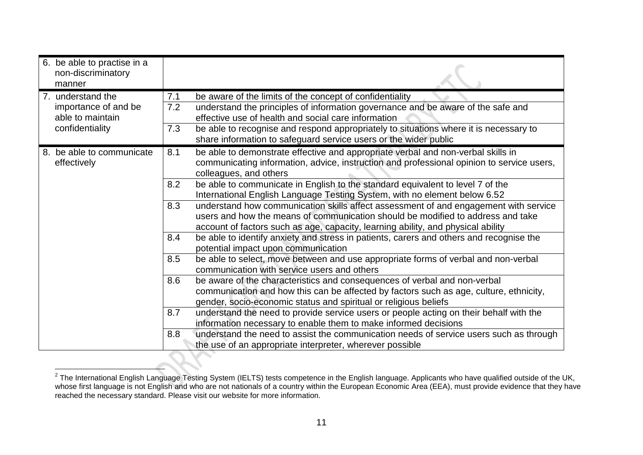| 6. be able to practise in a<br>non-discriminatory<br>manner |     |                                                                                                                                                                                                                                                             |
|-------------------------------------------------------------|-----|-------------------------------------------------------------------------------------------------------------------------------------------------------------------------------------------------------------------------------------------------------------|
| 7. understand the                                           | 7.1 | be aware of the limits of the concept of confidentiality                                                                                                                                                                                                    |
| importance of and be<br>able to maintain                    | 7.2 | understand the principles of information governance and be aware of the safe and<br>effective use of health and social care information                                                                                                                     |
| confidentiality                                             | 7.3 | be able to recognise and respond appropriately to situations where it is necessary to                                                                                                                                                                       |
|                                                             |     | share information to safeguard service users or the wider public                                                                                                                                                                                            |
| 8. be able to communicate                                   | 8.1 | be able to demonstrate effective and appropriate verbal and non-verbal skills in                                                                                                                                                                            |
| effectively                                                 |     | communicating information, advice, instruction and professional opinion to service users,<br>colleagues, and others                                                                                                                                         |
|                                                             | 8.2 | be able to communicate in English to the standard equivalent to level 7 of the                                                                                                                                                                              |
|                                                             |     | International English Language Testing System, with no element below 6.52                                                                                                                                                                                   |
|                                                             | 8.3 | understand how communication skills affect assessment of and engagement with service<br>users and how the means of communication should be modified to address and take<br>account of factors such as age, capacity, learning ability, and physical ability |
|                                                             | 8.4 | be able to identify anxiety and stress in patients, carers and others and recognise the                                                                                                                                                                     |
|                                                             |     | potential impact upon communication                                                                                                                                                                                                                         |
|                                                             | 8.5 | be able to select, move between and use appropriate forms of verbal and non-verbal<br>communication with service users and others                                                                                                                           |
|                                                             | 8.6 | be aware of the characteristics and consequences of verbal and non-verbal                                                                                                                                                                                   |
|                                                             |     | communication and how this can be affected by factors such as age, culture, ethnicity,                                                                                                                                                                      |
|                                                             |     | gender, socio-economic status and spiritual or religious beliefs                                                                                                                                                                                            |
|                                                             | 8.7 | understand the need to provide service users or people acting on their behalf with the                                                                                                                                                                      |
|                                                             |     | information necessary to enable them to make informed decisions                                                                                                                                                                                             |
|                                                             | 8.8 | understand the need to assist the communication needs of service users such as through                                                                                                                                                                      |
|                                                             |     | the use of an appropriate interpreter, wherever possible                                                                                                                                                                                                    |

 $\frac{2}{T}$ The International English Language Testing System (IELTS) tests competence in the English language. Applicants who have qualified outside of the UK, whose first language is not English and who are not nationals of a country within the European Economic Area (EEA), must provide evidence that they have reached the necessary standard. Please visit our website for more information.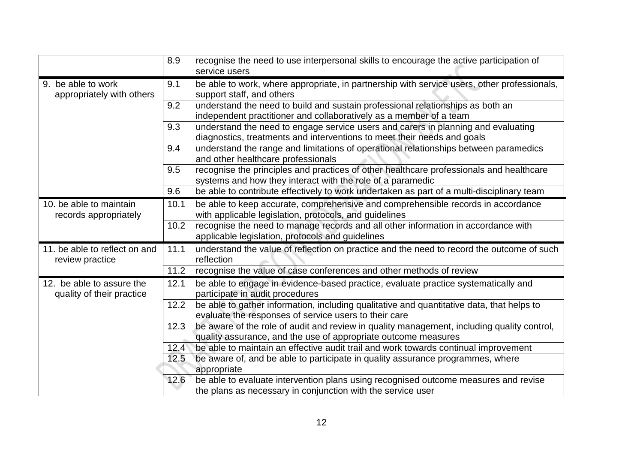|                                                        | 8.9  | recognise the need to use interpersonal skills to encourage the active participation of<br>service users                                                     |
|--------------------------------------------------------|------|--------------------------------------------------------------------------------------------------------------------------------------------------------------|
| 9. be able to work<br>appropriately with others        | 9.1  | be able to work, where appropriate, in partnership with service users, other professionals,<br>support staff, and others                                     |
|                                                        | 9.2  | understand the need to build and sustain professional relationships as both an<br>independent practitioner and collaboratively as a member of a team         |
|                                                        | 9.3  | understand the need to engage service users and carers in planning and evaluating<br>diagnostics, treatments and interventions to meet their needs and goals |
|                                                        | 9.4  | understand the range and limitations of operational relationships between paramedics<br>and other healthcare professionals                                   |
|                                                        | 9.5  | recognise the principles and practices of other healthcare professionals and healthcare<br>systems and how they interact with the role of a paramedic        |
|                                                        | 9.6  | be able to contribute effectively to work undertaken as part of a multi-disciplinary team                                                                    |
| 10. be able to maintain<br>records appropriately       | 10.1 | be able to keep accurate, comprehensive and comprehensible records in accordance<br>with applicable legislation, protocols, and guidelines                   |
|                                                        | 10.2 | recognise the need to manage records and all other information in accordance with<br>applicable legislation, protocols and guidelines                        |
| 11. be able to reflect on and<br>review practice       | 11.1 | understand the value of reflection on practice and the need to record the outcome of such<br>reflection                                                      |
|                                                        | 11.2 | recognise the value of case conferences and other methods of review                                                                                          |
| 12. be able to assure the<br>quality of their practice | 12.1 | be able to engage in evidence-based practice, evaluate practice systematically and<br>participate in audit procedures                                        |
|                                                        | 12.2 | be able to gather information, including qualitative and quantitative data, that helps to<br>evaluate the responses of service users to their care           |
|                                                        | 12.3 | be aware of the role of audit and review in quality management, including quality control,<br>quality assurance, and the use of appropriate outcome measures |
|                                                        | 12.4 | be able to maintain an effective audit trail and work towards continual improvement                                                                          |
|                                                        | 12.5 | be aware of, and be able to participate in quality assurance programmes, where<br>appropriate                                                                |
|                                                        | 12.6 | be able to evaluate intervention plans using recognised outcome measures and revise<br>the plans as necessary in conjunction with the service user           |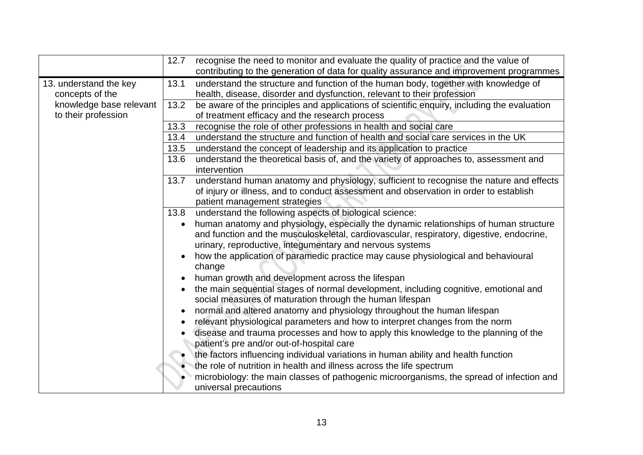|                         | 12.7      | recognise the need to monitor and evaluate the quality of practice and the value of         |
|-------------------------|-----------|---------------------------------------------------------------------------------------------|
|                         |           | contributing to the generation of data for quality assurance and improvement programmes     |
| 13. understand the key  | 13.1      | understand the structure and function of the human body, together with knowledge of         |
| concepts of the         |           | health, disease, disorder and dysfunction, relevant to their profession                     |
| knowledge base relevant | 13.2      | be aware of the principles and applications of scientific enquiry, including the evaluation |
| to their profession     |           | of treatment efficacy and the research process                                              |
|                         | 13.3      | recognise the role of other professions in health and social care                           |
|                         | 13.4      | understand the structure and function of health and social care services in the UK          |
|                         | 13.5      | understand the concept of leadership and its application to practice                        |
|                         | 13.6      | understand the theoretical basis of, and the variety of approaches to, assessment and       |
|                         |           | intervention                                                                                |
|                         | 13.7      | understand human anatomy and physiology, sufficient to recognise the nature and effects     |
|                         |           | of injury or illness, and to conduct assessment and observation in order to establish       |
|                         |           | patient management strategies                                                               |
|                         | 13.8      | understand the following aspects of biological science:                                     |
|                         | $\bullet$ | human anatomy and physiology, especially the dynamic relationships of human structure       |
|                         |           | and function and the musculoskeletal, cardiovascular, respiratory, digestive, endocrine,    |
|                         |           | urinary, reproductive, integumentary and nervous systems                                    |
|                         |           | how the application of paramedic practice may cause physiological and behavioural<br>change |
|                         |           | human growth and development across the lifespan                                            |
|                         |           | the main sequential stages of normal development, including cognitive, emotional and        |
|                         |           | social measures of maturation through the human lifespan                                    |
|                         |           | normal and altered anatomy and physiology throughout the human lifespan                     |
|                         |           | relevant physiological parameters and how to interpret changes from the norm                |
|                         |           | disease and trauma processes and how to apply this knowledge to the planning of the         |
|                         |           | patient's pre and/or out-of-hospital care                                                   |
|                         |           | the factors influencing individual variations in human ability and health function          |
|                         |           | the role of nutrition in health and illness across the life spectrum                        |
|                         |           | microbiology: the main classes of pathogenic microorganisms, the spread of infection and    |
|                         |           | universal precautions                                                                       |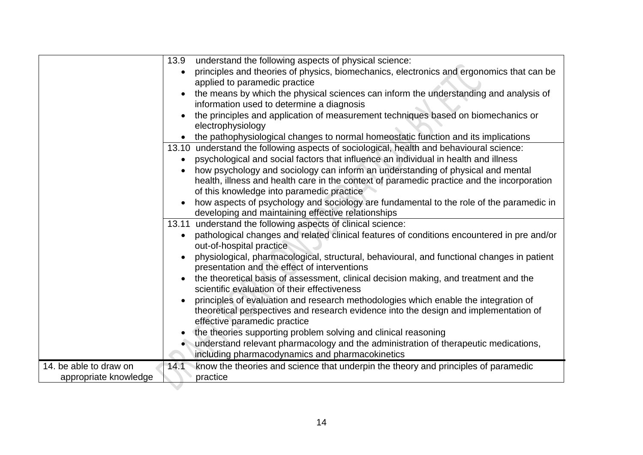|                        | 13.9 understand the following aspects of physical science:                                                                                 |
|------------------------|--------------------------------------------------------------------------------------------------------------------------------------------|
|                        | principles and theories of physics, biomechanics, electronics and ergonomics that can be<br>$\bullet$                                      |
|                        | applied to paramedic practice                                                                                                              |
|                        | the means by which the physical sciences can inform the understanding and analysis of                                                      |
|                        | information used to determine a diagnosis                                                                                                  |
|                        | the principles and application of measurement techniques based on biomechanics or                                                          |
|                        | electrophysiology                                                                                                                          |
|                        | • the pathophysiological changes to normal homeostatic function and its implications                                                       |
|                        | 13.10 understand the following aspects of sociological, health and behavioural science:                                                    |
|                        | psychological and social factors that influence an individual in health and illness<br>$\bullet$                                           |
|                        | how psychology and sociology can inform an understanding of physical and mental                                                            |
|                        | health, illness and health care in the context of paramedic practice and the incorporation                                                 |
|                        | of this knowledge into paramedic practice                                                                                                  |
|                        | how aspects of psychology and sociology are fundamental to the role of the paramedic in                                                    |
|                        | developing and maintaining effective relationships                                                                                         |
|                        | 13.11 understand the following aspects of clinical science:                                                                                |
|                        | pathological changes and related clinical features of conditions encountered in pre and/or<br>$\bullet$<br>out-of-hospital practice        |
|                        | physiological, pharmacological, structural, behavioural, and functional changes in patient<br>presentation and the effect of interventions |
|                        | the theoretical basis of assessment, clinical decision making, and treatment and the<br>scientific evaluation of their effectiveness       |
|                        | principles of evaluation and research methodologies which enable the integration of                                                        |
|                        | theoretical perspectives and research evidence into the design and implementation of                                                       |
|                        | effective paramedic practice                                                                                                               |
|                        | the theories supporting problem solving and clinical reasoning                                                                             |
|                        | understand relevant pharmacology and the administration of therapeutic medications,                                                        |
|                        | including pharmacodynamics and pharmacokinetics                                                                                            |
| 14. be able to draw on | know the theories and science that underpin the theory and principles of paramedic<br>14.1                                                 |
| appropriate knowledge  | practice                                                                                                                                   |
|                        |                                                                                                                                            |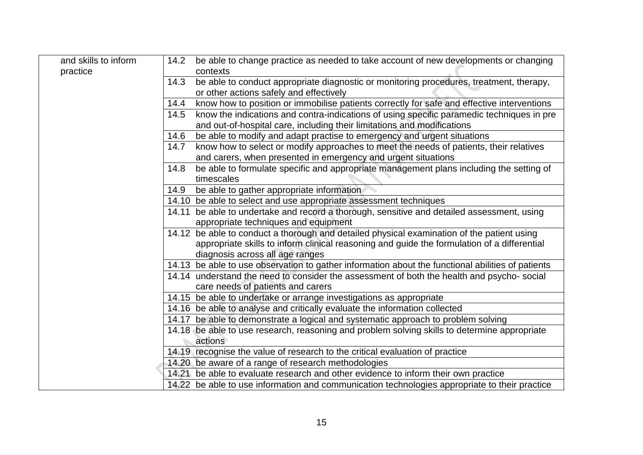| and skills to inform<br>14.2<br>practice | be able to change practice as needed to take account of new developments or changing<br>contexts                                                                     |
|------------------------------------------|----------------------------------------------------------------------------------------------------------------------------------------------------------------------|
| 14.3                                     | be able to conduct appropriate diagnostic or monitoring procedures, treatment, therapy,<br>or other actions safely and effectively                                   |
| 14.4                                     | know how to position or immobilise patients correctly for safe and effective interventions                                                                           |
| 14.5                                     | know the indications and contra-indications of using specific paramedic techniques in pre<br>and out-of-hospital care, including their limitations and modifications |
| 14.6                                     | be able to modify and adapt practise to emergency and urgent situations                                                                                              |
| 14.7                                     | know how to select or modify approaches to meet the needs of patients, their relatives<br>and carers, when presented in emergency and urgent situations              |
| 14.8                                     | be able to formulate specific and appropriate management plans including the setting of<br>timescales                                                                |
| 14.9                                     | be able to gather appropriate information                                                                                                                            |
|                                          | 14.10 be able to select and use appropriate assessment techniques                                                                                                    |
|                                          | 14.11 be able to undertake and record a thorough, sensitive and detailed assessment, using<br>appropriate techniques and equipment                                   |
|                                          | 14.12 be able to conduct a thorough and detailed physical examination of the patient using                                                                           |
|                                          | appropriate skills to inform clinical reasoning and guide the formulation of a differential                                                                          |
|                                          | diagnosis across all age ranges                                                                                                                                      |
|                                          | 14.13 be able to use observation to gather information about the functional abilities of patients                                                                    |
|                                          | 14.14 understand the need to consider the assessment of both the health and psycho- social<br>care needs of patients and carers                                      |
|                                          | 14.15 be able to undertake or arrange investigations as appropriate                                                                                                  |
|                                          | 14.16 be able to analyse and critically evaluate the information collected                                                                                           |
|                                          | 14.17 be able to demonstrate a logical and systematic approach to problem solving                                                                                    |
|                                          | 14.18 be able to use research, reasoning and problem solving skills to determine appropriate<br>actions                                                              |
|                                          | 14.19 recognise the value of research to the critical evaluation of practice                                                                                         |
|                                          | 14.20 be aware of a range of research methodologies                                                                                                                  |
|                                          | 14.21 be able to evaluate research and other evidence to inform their own practice                                                                                   |
|                                          | 14.22 be able to use information and communication technologies appropriate to their practice                                                                        |